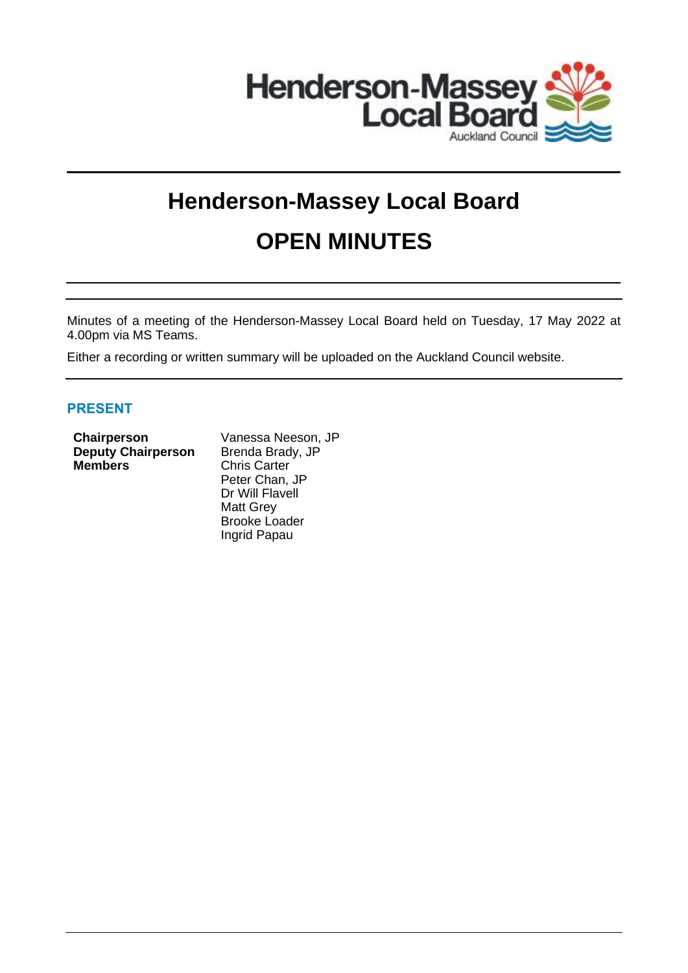

# **Henderson-Massey Local Board OPEN MINUTES**

Minutes of a meeting of the Henderson-Massey Local Board held on Tuesday, 17 May 2022 at 4.00pm via MS Teams.

Either a recording or written summary will be uploaded on the Auckland Council website.

## **PRESENT**

| Chairperson               |
|---------------------------|
| <b>Deputy Chairperson</b> |
| <b>Members</b>            |

**Vanessa Neeson, JP** Brenda Brady, JP **Chris Carter** Peter Chan, JP Dr Will Flavell Matt Grey Brooke Loader Ingrid Papau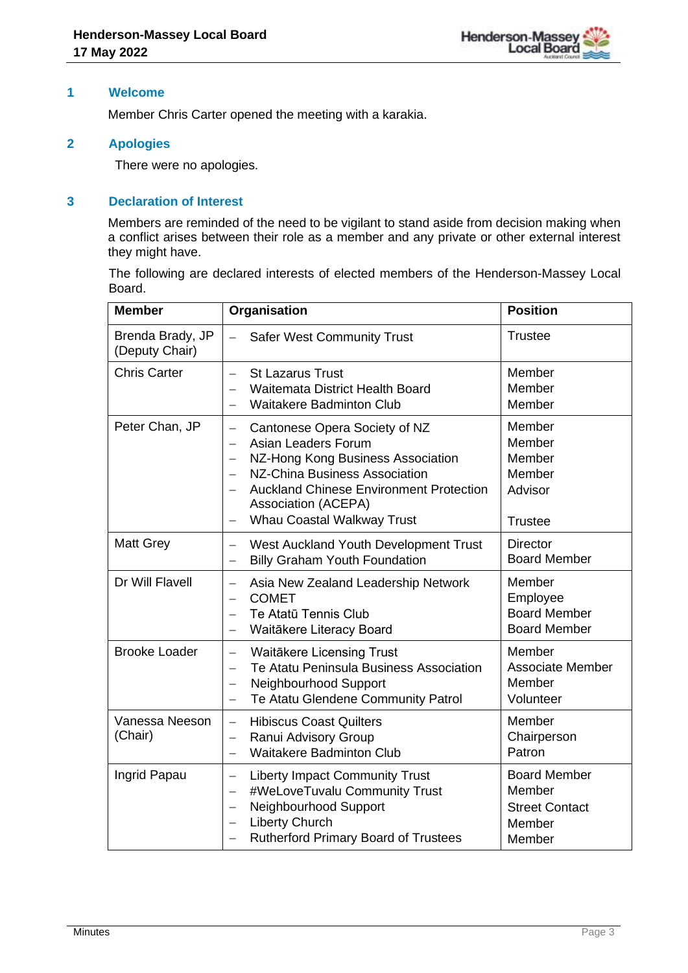#### **1 Welcome**

Member Chris Carter opened the meeting with a karakia.

## **2 Apologies**

There were no apologies.

## **3 Declaration of Interest**

Members are reminded of the need to be vigilant to stand aside from decision making when a conflict arises between their role as a member and any private or other external interest they might have.

The following are declared interests of elected members of the Henderson-Massey Local Board.

| <b>Member</b>                      | Organisation                                                                                                                                                                                                                                                                                                                                    | <b>Position</b>                                                            |
|------------------------------------|-------------------------------------------------------------------------------------------------------------------------------------------------------------------------------------------------------------------------------------------------------------------------------------------------------------------------------------------------|----------------------------------------------------------------------------|
| Brenda Brady, JP<br>(Deputy Chair) | $\equiv$<br><b>Safer West Community Trust</b>                                                                                                                                                                                                                                                                                                   | <b>Trustee</b>                                                             |
| <b>Chris Carter</b>                | <b>St Lazarus Trust</b><br>$\overline{\phantom{0}}$<br><b>Waitemata District Health Board</b><br><b>Waitakere Badminton Club</b><br>$\overline{\phantom{0}}$                                                                                                                                                                                    | Member<br>Member<br>Member                                                 |
| Peter Chan, JP                     | Cantonese Opera Society of NZ<br>$\overline{\phantom{0}}$<br>Asian Leaders Forum<br>$\overline{\phantom{0}}$<br>NZ-Hong Kong Business Association<br>$\overline{\phantom{0}}$<br><b>NZ-China Business Association</b><br>$\equiv$<br><b>Auckland Chinese Environment Protection</b><br><b>Association (ACEPA)</b><br>Whau Coastal Walkway Trust | Member<br>Member<br>Member<br>Member<br>Advisor<br><b>Trustee</b>          |
| <b>Matt Grey</b>                   | West Auckland Youth Development Trust<br>$\overline{\phantom{0}}$<br><b>Billy Graham Youth Foundation</b><br>$\overline{\phantom{0}}$                                                                                                                                                                                                           | <b>Director</b><br><b>Board Member</b>                                     |
| Dr Will Flavell                    | Asia New Zealand Leadership Network<br>$\overline{\phantom{0}}$<br><b>COMET</b><br>$\overline{\phantom{0}}$<br>Te Atatū Tennis Club<br>$\overline{\phantom{0}}$<br>Waitākere Literacy Board                                                                                                                                                     | Member<br>Employee<br><b>Board Member</b><br><b>Board Member</b>           |
| <b>Brooke Loader</b>               | <b>Waitäkere Licensing Trust</b><br>$\qquad \qquad -$<br>Te Atatu Peninsula Business Association<br>$\overline{\phantom{0}}$<br>Neighbourhood Support<br>$\overline{\phantom{0}}$<br>Te Atatu Glendene Community Patrol<br>$\qquad \qquad -$                                                                                                    | Member<br><b>Associate Member</b><br>Member<br>Volunteer                   |
| Vanessa Neeson<br>(Chair)          | <b>Hibiscus Coast Quilters</b><br>$\equiv$<br>Ranui Advisory Group<br>$\qquad \qquad -$<br><b>Waitakere Badminton Club</b><br>$\overline{\phantom{0}}$                                                                                                                                                                                          | Member<br>Chairperson<br>Patron                                            |
| Ingrid Papau                       | <b>Liberty Impact Community Trust</b><br>$\overline{\phantom{0}}$<br>#WeLoveTuvalu Community Trust<br>$\overline{\phantom{0}}$<br>Neighbourhood Support<br>$\overline{\phantom{0}}$<br><b>Liberty Church</b><br>$\overline{\phantom{0}}$<br><b>Rutherford Primary Board of Trustees</b><br>$\overline{\phantom{0}}$                             | <b>Board Member</b><br>Member<br><b>Street Contact</b><br>Member<br>Member |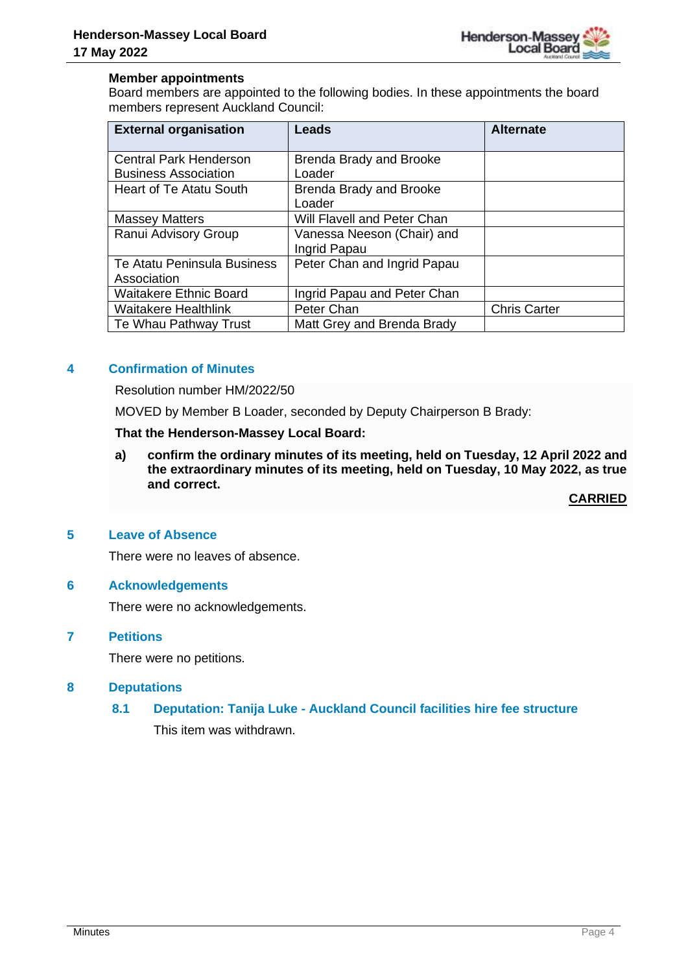

#### **Member appointments**

Board members are appointed to the following bodies. In these appointments the board members represent Auckland Council:

| <b>External organisation</b>   | Leads                          | <b>Alternate</b>    |
|--------------------------------|--------------------------------|---------------------|
| <b>Central Park Henderson</b>  | <b>Brenda Brady and Brooke</b> |                     |
| <b>Business Association</b>    | Loader                         |                     |
| <b>Heart of Te Atatu South</b> | <b>Brenda Brady and Brooke</b> |                     |
|                                | Loader                         |                     |
| <b>Massey Matters</b>          | Will Flavell and Peter Chan    |                     |
| Ranui Advisory Group           | Vanessa Neeson (Chair) and     |                     |
|                                | Ingrid Papau                   |                     |
| Te Atatu Peninsula Business    | Peter Chan and Ingrid Papau    |                     |
| Association                    |                                |                     |
| <b>Waitakere Ethnic Board</b>  | Ingrid Papau and Peter Chan    |                     |
| <b>Waitakere Healthlink</b>    | Peter Chan                     | <b>Chris Carter</b> |
| Te Whau Pathway Trust          | Matt Grey and Brenda Brady     |                     |

## **4 Confirmation of Minutes**

Resolution number HM/2022/50

MOVED by Member B Loader, seconded by Deputy Chairperson B Brady:

#### **That the Henderson-Massey Local Board:**

**a) confirm the ordinary minutes of its meeting, held on Tuesday, 12 April 2022 and the extraordinary minutes of its meeting, held on Tuesday, 10 May 2022, as true and correct.**

**CARRIED**

#### **5 Leave of Absence**

There were no leaves of absence.

#### **6 Acknowledgements**

There were no acknowledgements.

#### **7 Petitions**

There were no petitions.

#### **8 Deputations**

# **8.1 Deputation: Tanija Luke - Auckland Council facilities hire fee structure**

This item was withdrawn.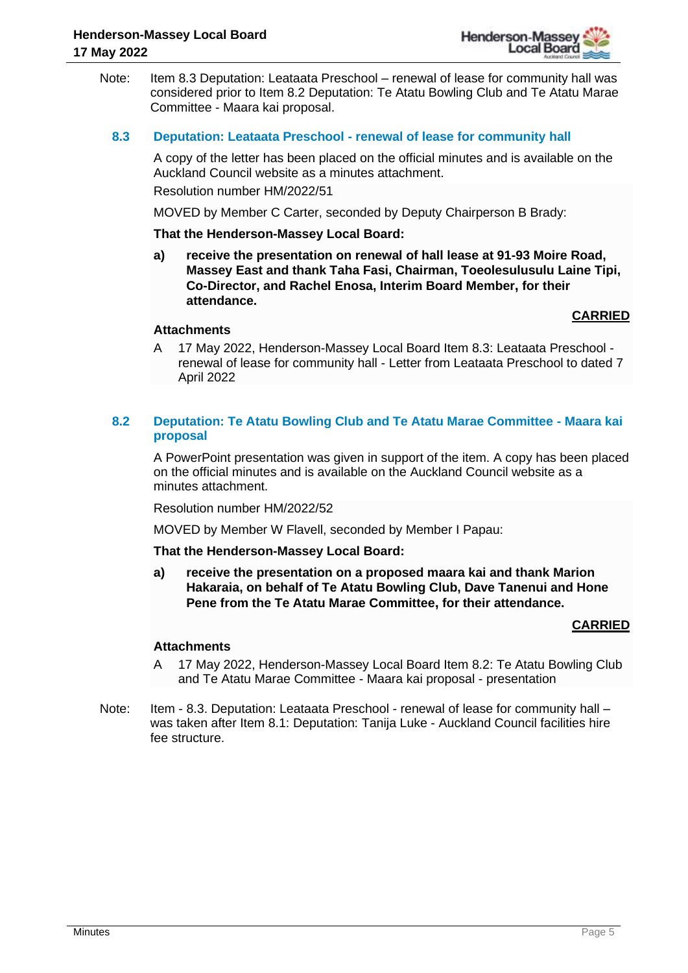

Note: Item 8.3 Deputation: Leataata Preschool – renewal of lease for community hall was considered prior to Item 8.2 Deputation: Te Atatu Bowling Club and Te Atatu Marae Committee - Maara kai proposal.

#### **8.3 Deputation: Leataata Preschool - renewal of lease for community hall**

A copy of the letter has been placed on the official minutes and is available on the Auckland Council website as a minutes attachment. Resolution number HM/2022/51

MOVED by Member C Carter, seconded by Deputy Chairperson B Brady:

#### **That the Henderson-Massey Local Board:**

**a) receive the presentation on renewal of hall lease at 91-93 Moire Road, Massey East and thank Taha Fasi, Chairman, Toeolesulusulu Laine Tipi, Co-Director, and Rachel Enosa, Interim Board Member, for their attendance.**

#### **CARRIED**

#### **Attachments**

A 17 May 2022, Henderson-Massey Local Board Item 8.3: Leataata Preschool renewal of lease for community hall - Letter from Leataata Preschool to dated 7 April 2022

## **8.2 Deputation: Te Atatu Bowling Club and Te Atatu Marae Committee - Maara kai proposal**

A PowerPoint presentation was given in support of the item. A copy has been placed on the official minutes and is available on the Auckland Council website as a minutes attachment.

Resolution number HM/2022/52

MOVED by Member W Flavell, seconded by Member I Papau:

#### **That the Henderson-Massey Local Board:**

**a) receive the presentation on a proposed maara kai and thank Marion Hakaraia, on behalf of Te Atatu Bowling Club, Dave Tanenui and Hone Pene from the Te Atatu Marae Committee, for their attendance.**

## **CARRIED**

## **Attachments**

- A 17 May 2022, Henderson-Massey Local Board Item 8.2: Te Atatu Bowling Club and Te Atatu Marae Committee - Maara kai proposal - presentation
- Note: Item 8.3. Deputation: Leataata Preschool renewal of lease for community hall was taken after Item 8.1: Deputation: Tanija Luke - Auckland Council facilities hire fee structure.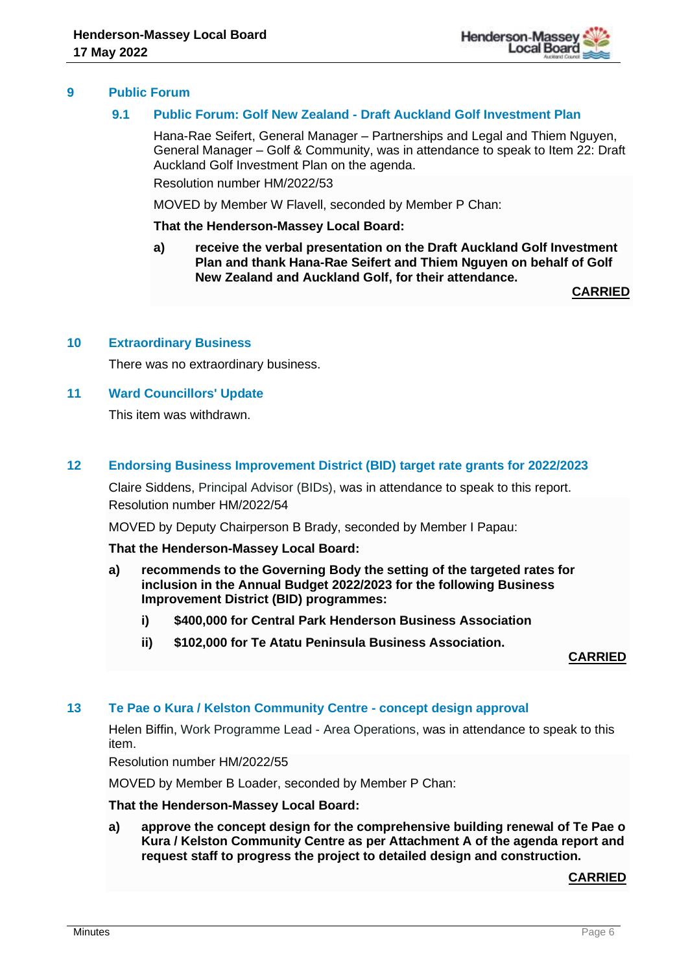

## **9 Public Forum**

## **9.1 Public Forum: Golf New Zealand - Draft Auckland Golf Investment Plan**

Hana-Rae Seifert, General Manager – Partnerships and Legal and Thiem Nguyen, General Manager – Golf & Community, was in attendance to speak to Item 22: Draft Auckland Golf Investment Plan on the agenda.

Resolution number HM/2022/53

MOVED by Member W Flavell, seconded by Member P Chan:

#### **That the Henderson-Massey Local Board:**

**a) receive the verbal presentation on the Draft Auckland Golf Investment Plan and thank Hana-Rae Seifert and Thiem Nguyen on behalf of Golf New Zealand and Auckland Golf, for their attendance.**

**CARRIED**

#### **10 Extraordinary Business**

There was no extraordinary business.

#### **11 Ward Councillors' Update**

This item was withdrawn.

## **12 Endorsing Business Improvement District (BID) target rate grants for 2022/2023**

Claire Siddens, Principal Advisor (BIDs), was in attendance to speak to this report. Resolution number HM/2022/54

MOVED by Deputy Chairperson B Brady, seconded by Member I Papau:

**That the Henderson-Massey Local Board:**

- **a) recommends to the Governing Body the setting of the targeted rates for inclusion in the Annual Budget 2022/2023 for the following Business Improvement District (BID) programmes:**
	- **i) \$400,000 for Central Park Henderson Business Association**
	- **ii) \$102,000 for Te Atatu Peninsula Business Association.**

**CARRIED**

## **13 Te Pae o Kura / Kelston Community Centre - concept design approval**

Helen Biffin, Work Programme Lead - Area Operations, was in attendance to speak to this item.

Resolution number HM/2022/55

MOVED by Member B Loader, seconded by Member P Chan:

#### **That the Henderson-Massey Local Board:**

**a) approve the concept design for the comprehensive building renewal of Te Pae o Kura / Kelston Community Centre as per Attachment A of the agenda report and request staff to progress the project to detailed design and construction.**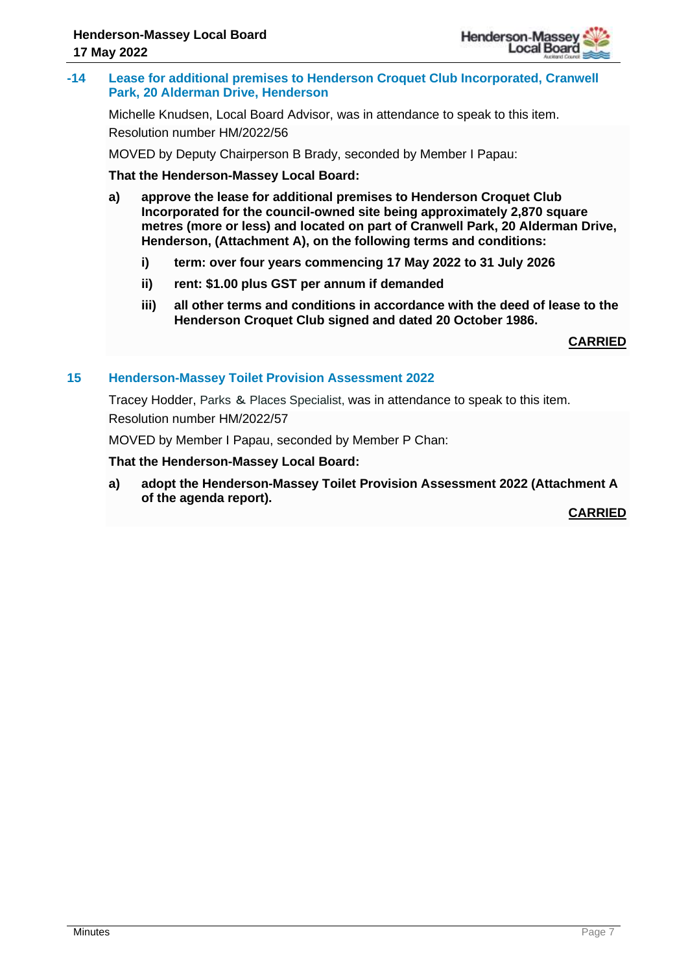

**-14 Lease for additional premises to Henderson Croquet Club Incorporated, Cranwell Park, 20 Alderman Drive, Henderson**

Michelle Knudsen, Local Board Advisor, was in attendance to speak to this item. Resolution number HM/2022/56

MOVED by Deputy Chairperson B Brady, seconded by Member I Papau:

**That the Henderson-Massey Local Board:**

- **a) approve the lease for additional premises to Henderson Croquet Club Incorporated for the council-owned site being approximately 2,870 square metres (more or less) and located on part of Cranwell Park, 20 Alderman Drive, Henderson, (Attachment A), on the following terms and conditions:**
	- **i) term: over four years commencing 17 May 2022 to 31 July 2026**
	- **ii) rent: \$1.00 plus GST per annum if demanded**
	- **iii) all other terms and conditions in accordance with the deed of lease to the Henderson Croquet Club signed and dated 20 October 1986.**

**CARRIED**

#### **15 Henderson-Massey Toilet Provision Assessment 2022**

Tracey Hodder, Parks & Places Specialist, was in attendance to speak to this item. Resolution number HM/2022/57

MOVED by Member I Papau, seconded by Member P Chan:

#### **That the Henderson-Massey Local Board:**

**a) adopt the Henderson-Massey Toilet Provision Assessment 2022 (Attachment A of the agenda report).**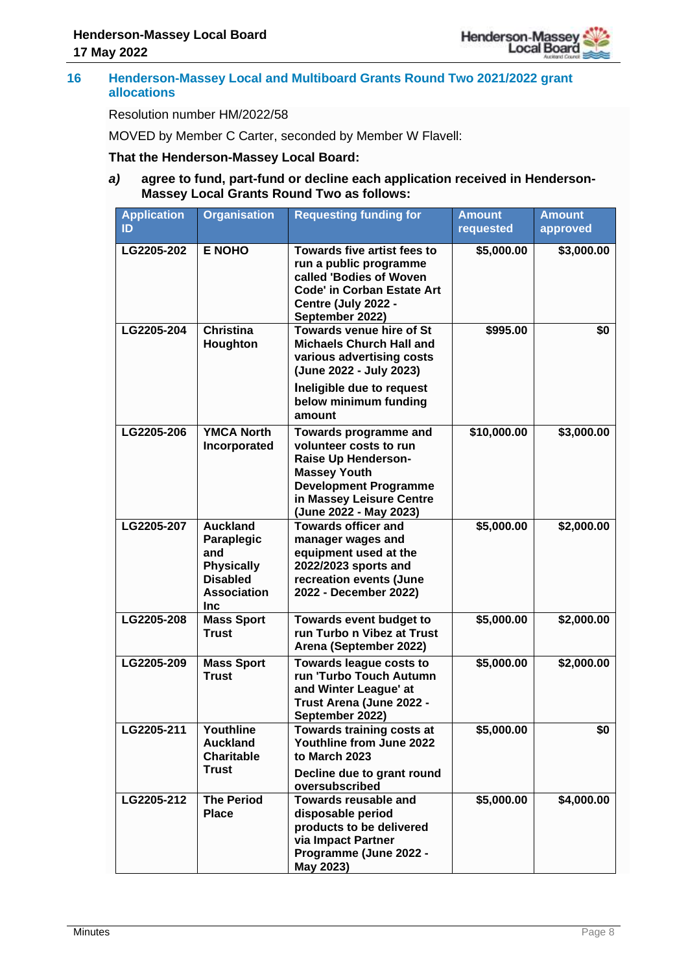

#### **16 Henderson-Massey Local and Multiboard Grants Round Two 2021/2022 grant allocations**

#### Resolution number HM/2022/58

MOVED by Member C Carter, seconded by Member W Flavell:

#### **That the Henderson-Massey Local Board:**

## *a)* **agree to fund, part-fund or decline each application received in Henderson-Massey Local Grants Round Two as follows:**

| <b>Application</b><br>ID | <b>Organisation</b>                                                                                              | <b>Requesting funding for</b>                                                                                                                                                       | <b>Amount</b><br>requested | <b>Amount</b><br>approved |
|--------------------------|------------------------------------------------------------------------------------------------------------------|-------------------------------------------------------------------------------------------------------------------------------------------------------------------------------------|----------------------------|---------------------------|
| LG2205-202               | <b>E NOHO</b>                                                                                                    | Towards five artist fees to<br>run a public programme<br>called 'Bodies of Woven<br><b>Code' in Corban Estate Art</b><br>Centre (July 2022 -<br>September 2022)                     | \$5,000.00                 | \$3,000.00                |
| LG2205-204               | <b>Christina</b><br>Houghton                                                                                     | <b>Towards venue hire of St</b><br><b>Michaels Church Hall and</b><br>various advertising costs<br>(June 2022 - July 2023)<br>Ineligible due to request                             | \$995.00                   | \$0                       |
|                          |                                                                                                                  | below minimum funding<br>amount                                                                                                                                                     |                            |                           |
| LG2205-206               | <b>YMCA North</b><br>Incorporated                                                                                | Towards programme and<br>volunteer costs to run<br>Raise Up Henderson-<br><b>Massey Youth</b><br><b>Development Programme</b><br>in Massey Leisure Centre<br>(June 2022 - May 2023) | \$10,000.00                | \$3,000.00                |
| LG2205-207               | <b>Auckland</b><br>Paraplegic<br>and<br><b>Physically</b><br><b>Disabled</b><br><b>Association</b><br><b>Inc</b> | <b>Towards officer and</b><br>manager wages and<br>equipment used at the<br>2022/2023 sports and<br>recreation events (June<br>2022 - December 2022)                                | \$5,000.00                 | \$2,000.00                |
| LG2205-208               | <b>Mass Sport</b><br><b>Trust</b>                                                                                | Towards event budget to<br>run Turbo n Vibez at Trust<br>Arena (September 2022)                                                                                                     | \$5,000.00                 | \$2,000.00                |
| LG2205-209               | <b>Mass Sport</b><br><b>Trust</b>                                                                                | Towards league costs to<br>run 'Turbo Touch Autumn<br>and Winter League' at<br>Trust Arena (June 2022 -<br>September 2022)                                                          | \$5,000.00                 | \$2,000.00                |
| LG2205-211               | Youthline<br><b>Auckland</b><br><b>Charitable</b><br><b>Trust</b>                                                | Towards training costs at<br>Youthline from June 2022<br>to March 2023<br>Decline due to grant round<br>oversubscribed                                                              | \$5,000.00                 | \$0                       |
| LG2205-212               | <b>The Period</b><br><b>Place</b>                                                                                | <b>Towards reusable and</b><br>disposable period<br>products to be delivered<br>via Impact Partner<br>Programme (June 2022 -<br>May 2023)                                           | \$5,000.00                 | \$4,000.00                |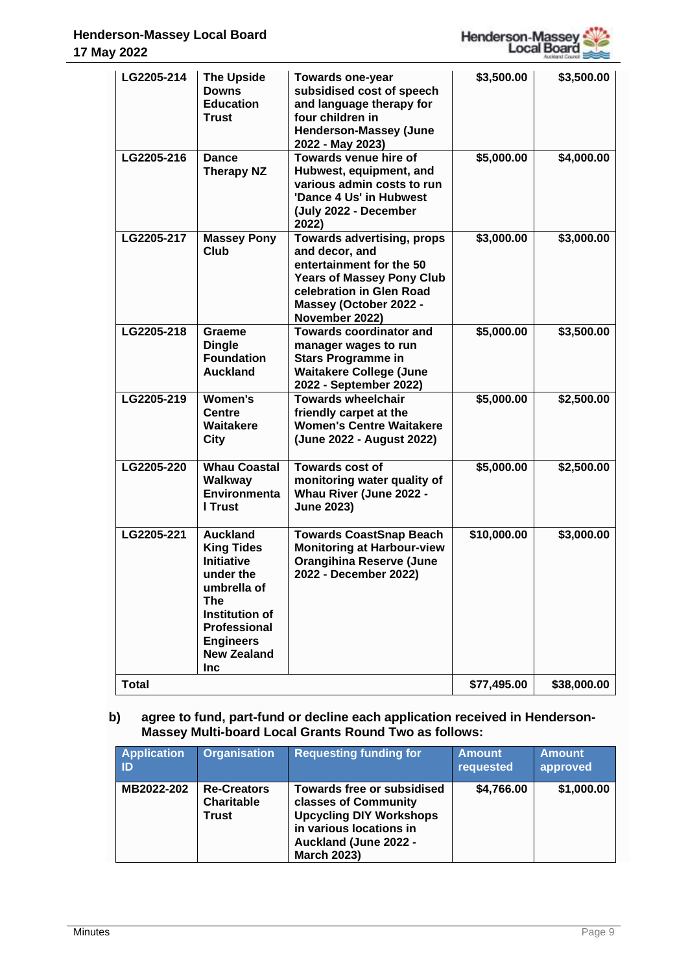

| LG2205-214   | <b>The Upside</b><br><b>Downs</b><br><b>Education</b><br><b>Trust</b>                                                                                                                         | <b>Towards one-year</b><br>subsidised cost of speech<br>and language therapy for<br>four children in<br><b>Henderson-Massey (June</b><br>2022 - May 2023)                                   | \$3,500.00  | \$3,500.00  |
|--------------|-----------------------------------------------------------------------------------------------------------------------------------------------------------------------------------------------|---------------------------------------------------------------------------------------------------------------------------------------------------------------------------------------------|-------------|-------------|
| LG2205-216   | <b>Dance</b><br><b>Therapy NZ</b>                                                                                                                                                             | Towards venue hire of<br>Hubwest, equipment, and<br>various admin costs to run<br>'Dance 4 Us' in Hubwest<br>(July 2022 - December<br>2022)                                                 | \$5,000.00  | \$4,000.00  |
| LG2205-217   | <b>Massey Pony</b><br><b>Club</b>                                                                                                                                                             | <b>Towards advertising, props</b><br>and decor, and<br>entertainment for the 50<br><b>Years of Massey Pony Club</b><br>celebration in Glen Road<br>Massey (October 2022 -<br>November 2022) | \$3,000.00  | \$3,000.00  |
| LG2205-218   | Graeme<br><b>Dingle</b><br><b>Foundation</b><br><b>Auckland</b>                                                                                                                               | <b>Towards coordinator and</b><br>manager wages to run<br><b>Stars Programme in</b><br><b>Waitakere College (June</b><br>2022 - September 2022)                                             | \$5,000.00  | \$3,500.00  |
| LG2205-219   | <b>Women's</b><br><b>Centre</b><br><b>Waitakere</b><br>City                                                                                                                                   | <b>Towards wheelchair</b><br>friendly carpet at the<br><b>Women's Centre Waitakere</b><br>(June 2022 - August 2022)                                                                         | \$5,000.00  | \$2,500.00  |
| LG2205-220   | <b>Whau Coastal</b><br>Walkway<br>Environmenta<br>I Trust                                                                                                                                     | Towards cost of<br>monitoring water quality of<br>Whau River (June 2022 -<br><b>June 2023)</b>                                                                                              | \$5,000.00  | \$2,500.00  |
| LG2205-221   | <b>Auckland</b><br><b>King Tides</b><br><b>Initiative</b><br>under the<br>umbrella of<br>The<br><b>Institution of</b><br><b>Professional</b><br><b>Engineers</b><br><b>New Zealand</b><br>Inc | <b>Towards CoastSnap Beach</b><br><b>Monitoring at Harbour-view</b><br><b>Orangihina Reserve (June</b><br>2022 - December 2022)                                                             | \$10,000.00 | \$3,000.00  |
| <b>Total</b> |                                                                                                                                                                                               |                                                                                                                                                                                             | \$77,495.00 | \$38,000.00 |

## **b) agree to fund, part-fund or decline each application received in Henderson-Massey Multi-board Local Grants Round Two as follows:**

| <b>Application</b><br>ID | <b>Organisation</b>                                     | <b>Requesting funding for</b>                                                                                                                                  | <b>Amount</b><br>requested | <b>Amount</b><br>approved |
|--------------------------|---------------------------------------------------------|----------------------------------------------------------------------------------------------------------------------------------------------------------------|----------------------------|---------------------------|
| MB2022-202               | <b>Re-Creators</b><br><b>Charitable</b><br><b>Trust</b> | Towards free or subsidised<br>classes of Community<br><b>Upcycling DIY Workshops</b><br>in various locations in<br>Auckland (June 2022 -<br><b>March 2023)</b> | \$4,766.00                 | \$1,000.00                |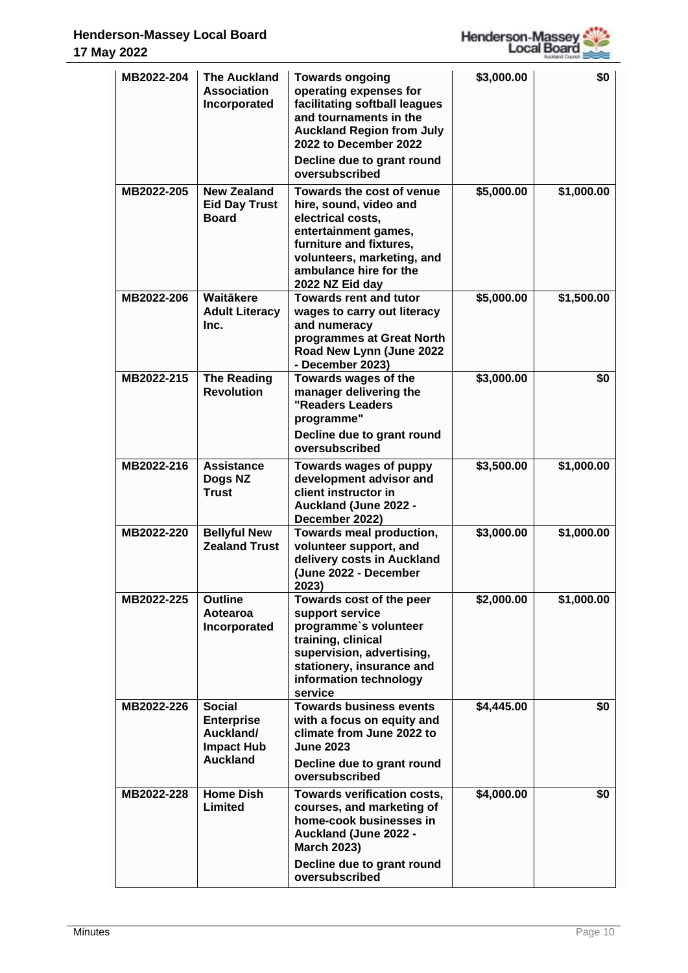

| MB2022-204 | <b>The Auckland</b><br>Association<br>Incorporated                                      | <b>Towards ongoing</b><br>operating expenses for<br>facilitating softball leagues<br>and tournaments in the<br><b>Auckland Region from July</b><br>2022 to December 2022<br>Decline due to grant round<br>oversubscribed | \$3,000.00 | \$0        |
|------------|-----------------------------------------------------------------------------------------|--------------------------------------------------------------------------------------------------------------------------------------------------------------------------------------------------------------------------|------------|------------|
| MB2022-205 | <b>New Zealand</b><br><b>Eid Day Trust</b><br><b>Board</b>                              | Towards the cost of venue<br>hire, sound, video and<br>electrical costs,<br>entertainment games,<br>furniture and fixtures,<br>volunteers, marketing, and<br>ambulance hire for the<br>2022 NZ Eid day                   | \$5,000.00 | \$1,000.00 |
| MB2022-206 | Waitākere<br><b>Adult Literacy</b><br>Inc.                                              | <b>Towards rent and tutor</b><br>wages to carry out literacy<br>and numeracy<br>programmes at Great North<br>Road New Lynn (June 2022<br>- December 2023)                                                                | \$5,000.00 | \$1,500.00 |
| MB2022-215 | <b>The Reading</b><br><b>Revolution</b>                                                 | Towards wages of the<br>manager delivering the<br>"Readers Leaders<br>programme"<br>Decline due to grant round<br>oversubscribed                                                                                         | \$3,000.00 | \$0        |
| MB2022-216 | <b>Assistance</b><br>Dogs NZ<br><b>Trust</b>                                            | Towards wages of puppy<br>development advisor and<br>client instructor in<br>Auckland (June 2022 -<br>December 2022)                                                                                                     | \$3,500.00 | \$1,000.00 |
| MB2022-220 | <b>Bellyful New</b><br><b>Zealand Trust</b>                                             | Towards meal production,<br>volunteer support, and<br>delivery costs in Auckland<br>(June 2022 - December<br>2023)                                                                                                       | \$3,000.00 | \$1,000.00 |
| MB2022-225 | <b>Outline</b><br>Aotearoa<br>Incorporated                                              | Towards cost of the peer<br>support service<br>programme's volunteer<br>training, clinical<br>supervision, advertising,<br>stationery, insurance and<br>information technology<br>service                                | \$2,000.00 | \$1,000.00 |
| MB2022-226 | <b>Social</b><br><b>Enterprise</b><br>Auckland/<br><b>Impact Hub</b><br><b>Auckland</b> | <b>Towards business events</b><br>with a focus on equity and<br>climate from June 2022 to<br><b>June 2023</b><br>Decline due to grant round<br>oversubscribed                                                            | \$4,445.00 | \$0        |
| MB2022-228 | <b>Home Dish</b><br>Limited                                                             | Towards verification costs,<br>courses, and marketing of<br>home-cook businesses in<br>Auckland (June 2022 -<br><b>March 2023)</b><br>Decline due to grant round                                                         | \$4,000.00 | \$0        |
|            |                                                                                         | oversubscribed                                                                                                                                                                                                           |            |            |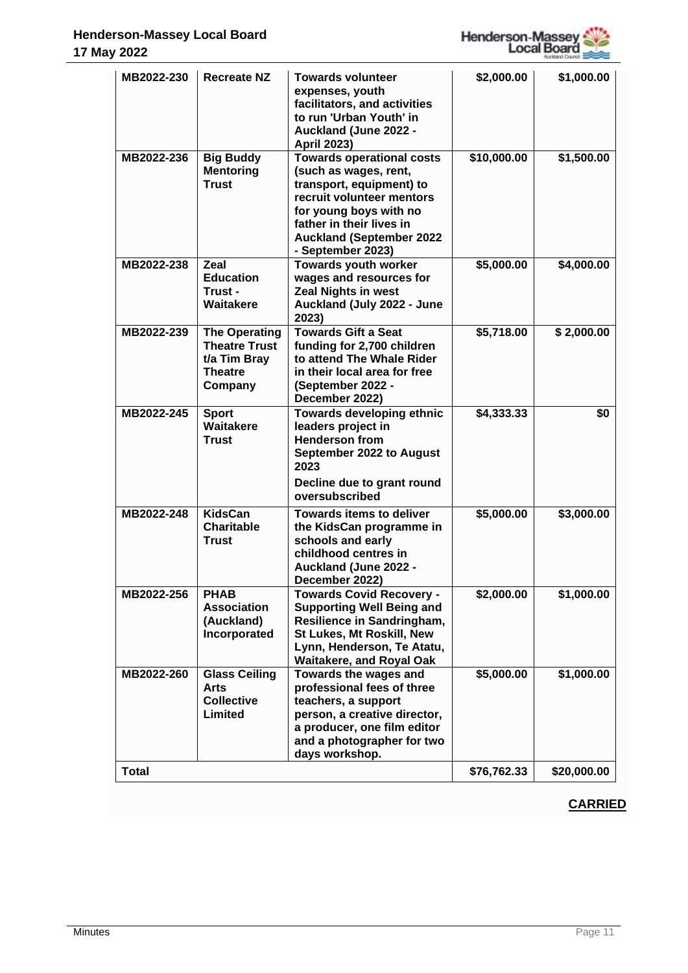

| MB2022-230   | <b>Recreate NZ</b>                                                                        | <b>Towards volunteer</b><br>expenses, youth<br>facilitators, and activities<br>to run 'Urban Youth' in<br>Auckland (June 2022 -<br><b>April 2023)</b>                                                                            | \$2,000.00  | \$1,000.00  |
|--------------|-------------------------------------------------------------------------------------------|----------------------------------------------------------------------------------------------------------------------------------------------------------------------------------------------------------------------------------|-------------|-------------|
| MB2022-236   | <b>Big Buddy</b><br><b>Mentoring</b><br><b>Trust</b>                                      | <b>Towards operational costs</b><br>(such as wages, rent,<br>transport, equipment) to<br>recruit volunteer mentors<br>for young boys with no<br>father in their lives in<br><b>Auckland (September 2022</b><br>- September 2023) | \$10,000.00 | \$1,500.00  |
| MB2022-238   | Zeal<br><b>Education</b><br>Trust -<br>Waitakere                                          | <b>Towards youth worker</b><br>wages and resources for<br><b>Zeal Nights in west</b><br>Auckland (July 2022 - June<br>2023)                                                                                                      | \$5,000.00  | \$4,000.00  |
| MB2022-239   | <b>The Operating</b><br><b>Theatre Trust</b><br>t/a Tim Bray<br><b>Theatre</b><br>Company | <b>Towards Gift a Seat</b><br>funding for 2,700 children<br>to attend The Whale Rider<br>in their local area for free<br>(September 2022 -<br>December 2022)                                                                     | \$5,718.00  | \$2,000.00  |
| MB2022-245   | <b>Sport</b><br><b>Waitakere</b><br><b>Trust</b>                                          | Towards developing ethnic<br>leaders project in<br><b>Henderson from</b><br>September 2022 to August<br>2023<br>Decline due to grant round<br>oversubscribed                                                                     | \$4,333.33  | \$0         |
| MB2022-248   | <b>KidsCan</b><br><b>Charitable</b><br><b>Trust</b>                                       | <b>Towards items to deliver</b><br>the KidsCan programme in<br>schools and early<br>childhood centres in<br>Auckland (June 2022 -<br>December 2022)                                                                              | \$5,000.00  | \$3,000.00  |
| MB2022-256   | <b>PHAB</b><br><b>Association</b><br>(Auckland)<br>Incorporated                           | <b>Towards Covid Recovery -</b><br><b>Supporting Well Being and</b><br>Resilience in Sandringham,<br>St Lukes, Mt Roskill, New<br>Lynn, Henderson, Te Atatu,<br><b>Waitakere, and Royal Oak</b>                                  | \$2,000.00  | \$1,000.00  |
| MB2022-260   | <b>Glass Ceiling</b><br><b>Arts</b><br><b>Collective</b><br>Limited                       | Towards the wages and<br>professional fees of three<br>teachers, a support<br>person, a creative director,<br>a producer, one film editor<br>and a photographer for two<br>days workshop.                                        | \$5,000.00  | \$1,000.00  |
| <b>Total</b> |                                                                                           |                                                                                                                                                                                                                                  | \$76,762.33 | \$20,000.00 |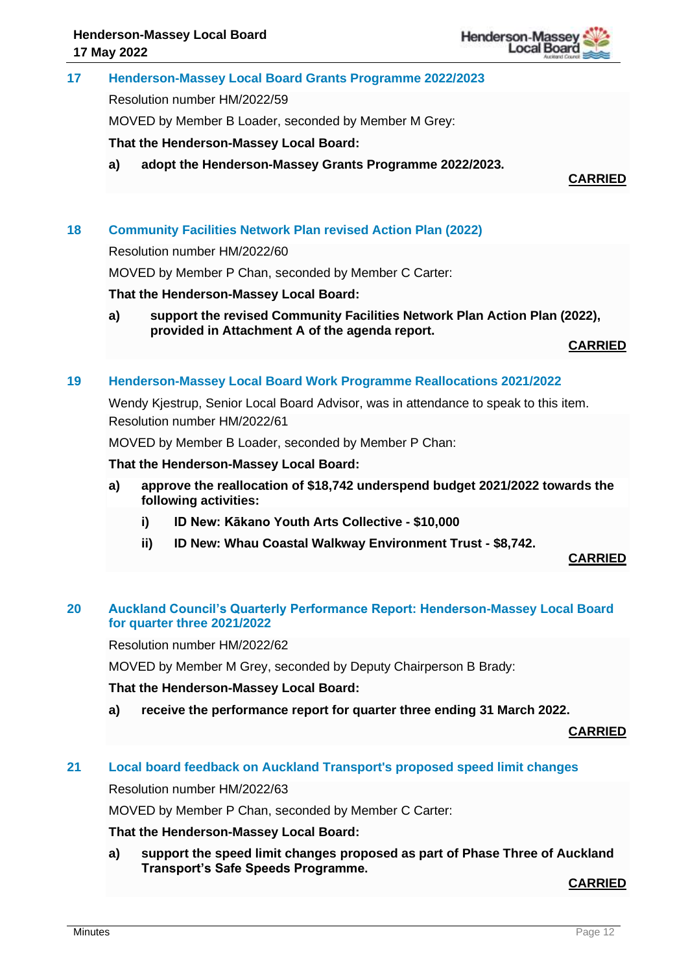

## **17 Henderson-Massey Local Board Grants Programme 2022/2023**

Resolution number HM/2022/59

MOVED by Member B Loader, seconded by Member M Grey:

**That the Henderson-Massey Local Board:**

**a) adopt the Henderson-Massey Grants Programme 2022/2023.**

**CARRIED**

## **18 Community Facilities Network Plan revised Action Plan (2022)**

Resolution number HM/2022/60

MOVED by Member P Chan, seconded by Member C Carter:

#### **That the Henderson-Massey Local Board:**

**a) support the revised Community Facilities Network Plan Action Plan (2022), provided in Attachment A of the agenda report.**

**CARRIED**

#### **19 Henderson-Massey Local Board Work Programme Reallocations 2021/2022**

Wendy Kiestrup, Senior Local Board Advisor, was in attendance to speak to this item. Resolution number HM/2022/61

MOVED by Member B Loader, seconded by Member P Chan:

#### **That the Henderson-Massey Local Board:**

- **a) approve the reallocation of \$18,742 underspend budget 2021/2022 towards the following activities:**
	- **i) ID New: Kākano Youth Arts Collective - \$10,000**
	- **ii) ID New: Whau Coastal Walkway Environment Trust - \$8,742.**

**CARRIED**

## **20 Auckland Council's Quarterly Performance Report: Henderson-Massey Local Board for quarter three 2021/2022**

Resolution number HM/2022/62

MOVED by Member M Grey, seconded by Deputy Chairperson B Brady:

#### **That the Henderson-Massey Local Board:**

**a) receive the performance report for quarter three ending 31 March 2022.**

**CARRIED**

## **21 Local board feedback on Auckland Transport's proposed speed limit changes**

Resolution number HM/2022/63

MOVED by Member P Chan, seconded by Member C Carter:

## **That the Henderson-Massey Local Board:**

**a) support the speed limit changes proposed as part of Phase Three of Auckland Transport's Safe Speeds Programme.**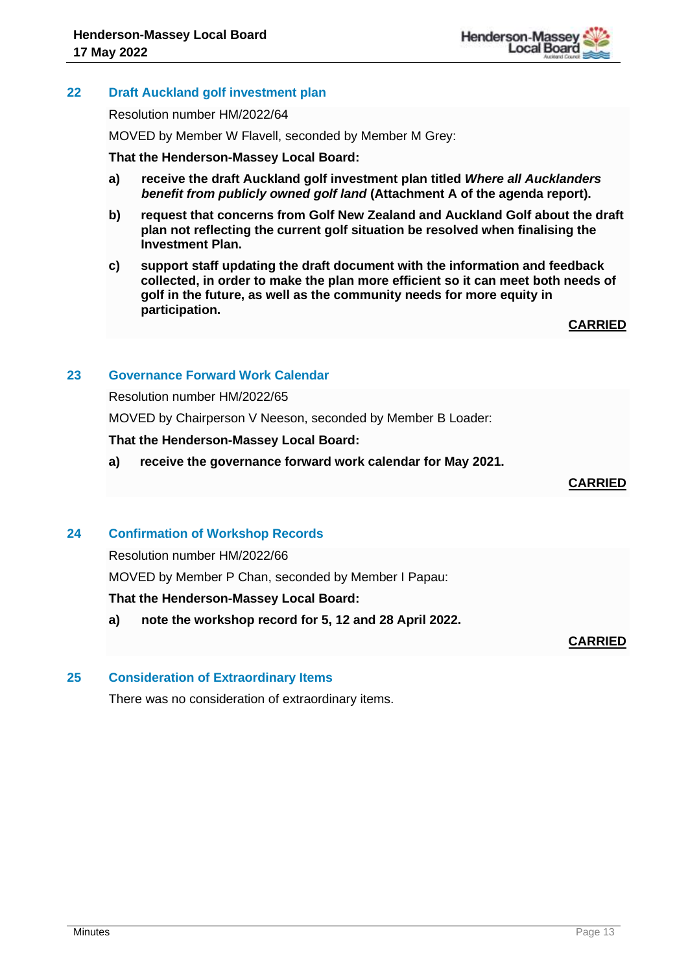

## **22 Draft Auckland golf investment plan**

Resolution number HM/2022/64

MOVED by Member W Flavell, seconded by Member M Grey:

#### **That the Henderson-Massey Local Board:**

- **a) receive the draft Auckland golf investment plan titled** *Where all Aucklanders benefit from publicly owned golf land* **(Attachment A of the agenda report).**
- **b) request that concerns from Golf New Zealand and Auckland Golf about the draft plan not reflecting the current golf situation be resolved when finalising the Investment Plan.**
- **c) support staff updating the draft document with the information and feedback collected, in order to make the plan more efficient so it can meet both needs of golf in the future, as well as the community needs for more equity in participation.**

**CARRIED**

## **23 Governance Forward Work Calendar**

Resolution number HM/2022/65

MOVED by Chairperson V Neeson, seconded by Member B Loader:

#### **That the Henderson-Massey Local Board:**

**a) receive the governance forward work calendar for May 2021.**

**CARRIED**

## **24 Confirmation of Workshop Records**

Resolution number HM/2022/66

MOVED by Member P Chan, seconded by Member I Papau:

## **That the Henderson-Massey Local Board:**

**a) note the workshop record for 5, 12 and 28 April 2022.**

**CARRIED**

## **25 Consideration of Extraordinary Items**

There was no consideration of extraordinary items.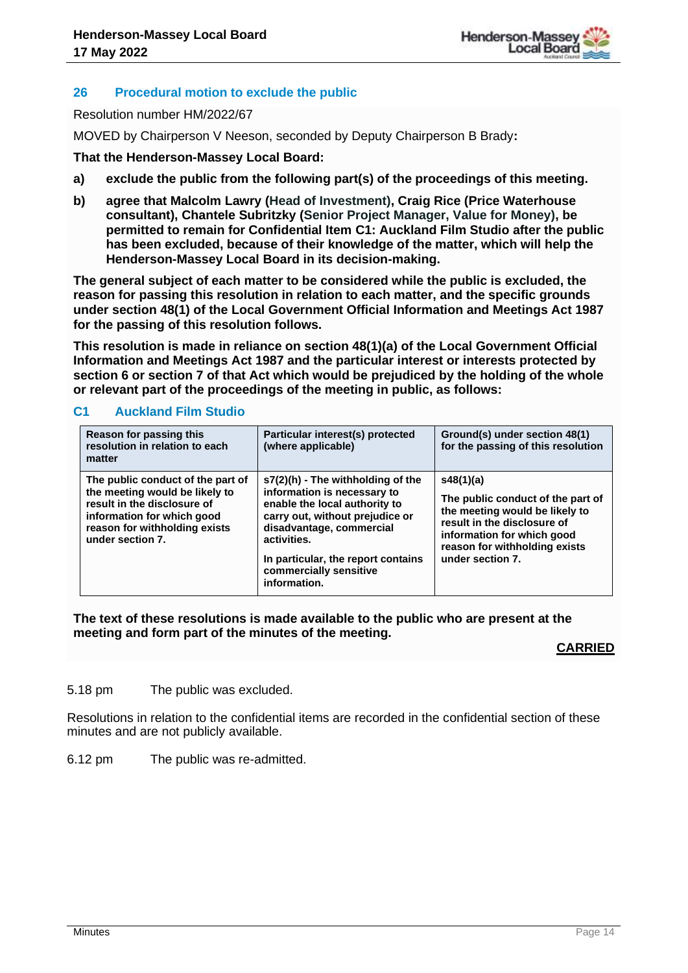

## **26 Procedural motion to exclude the public**

Resolution number HM/2022/67

MOVED by Chairperson V Neeson, seconded by Deputy Chairperson B Brady**:** 

## **That the Henderson-Massey Local Board:**

- **a) exclude the public from the following part(s) of the proceedings of this meeting.**
- **b) agree that Malcolm Lawry (Head of Investment), Craig Rice (Price Waterhouse consultant), Chantele Subritzky (Senior Project Manager, Value for Money), be permitted to remain for Confidential Item C1: Auckland Film Studio after the public has been excluded, because of their knowledge of the matter, which will help the Henderson-Massey Local Board in its decision-making.**

**The general subject of each matter to be considered while the public is excluded, the reason for passing this resolution in relation to each matter, and the specific grounds under section 48(1) of the Local Government Official Information and Meetings Act 1987 for the passing of this resolution follows.**

**This resolution is made in reliance on section 48(1)(a) of the Local Government Official Information and Meetings Act 1987 and the particular interest or interests protected by section 6 or section 7 of that Act which would be prejudiced by the holding of the whole or relevant part of the proceedings of the meeting in public, as follows:**

#### **C1 Auckland Film Studio**

| Reason for passing this<br>resolution in relation to each<br>matter                                                                                                                   | Particular interest(s) protected<br>(where applicable)                                                                                                                                                                                                            | Ground(s) under section 48(1)<br>for the passing of this resolution                                                                                                                                |
|---------------------------------------------------------------------------------------------------------------------------------------------------------------------------------------|-------------------------------------------------------------------------------------------------------------------------------------------------------------------------------------------------------------------------------------------------------------------|----------------------------------------------------------------------------------------------------------------------------------------------------------------------------------------------------|
| The public conduct of the part of<br>the meeting would be likely to<br>result in the disclosure of<br>information for which good<br>reason for withholding exists<br>under section 7. | $s7(2)(h)$ - The withholding of the<br>information is necessary to<br>enable the local authority to<br>carry out, without prejudice or<br>disadvantage, commercial<br>activities.<br>In particular, the report contains<br>commercially sensitive<br>information. | s48(1)(a)<br>The public conduct of the part of<br>the meeting would be likely to<br>result in the disclosure of<br>information for which good<br>reason for withholding exists<br>under section 7. |

#### **The text of these resolutions is made available to the public who are present at the meeting and form part of the minutes of the meeting.**

## **CARRIED**

5.18 pm The public was excluded.

Resolutions in relation to the confidential items are recorded in the confidential section of these minutes and are not publicly available.

6.12 pm The public was re-admitted.